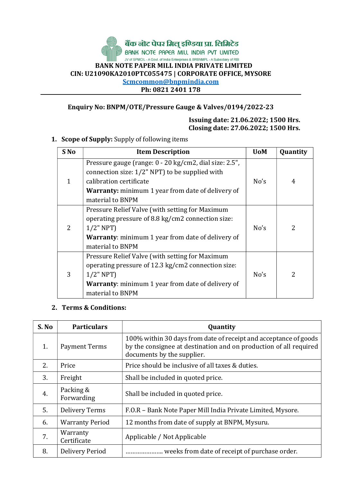# बैंक **लोट पेपर मिल् इण्डिया प्रा. लिमिटेड**<br>BANK NOTE PAPER MILL INDIA PVT LIMITED JV of SPMCIL - A Govt. of India Enterprises & BRBNMPL - A Subsidiary of RBI BANK NOTE PAPER MILL INDIA PRIVATE LIMITED CIN: U21090KA2010PTC055475 | CORPORATE OFFICE, MYSORE Scmcommon@bnpmindia.com Ph: 0821 2401 178

### Enquiry No: BNPM/OTE/Pressure Gauge & Valves/0194/2022-23

#### Issuing date: 21.06.2022; 1500 Hrs. Closing date: 27.06.2022; 1500 Hrs.

1. Scope of Supply: Supply of following items

| S No           | <b>Item Description</b>                                                                                                                                                                                             | <b>UoM</b> | Quantity      |
|----------------|---------------------------------------------------------------------------------------------------------------------------------------------------------------------------------------------------------------------|------------|---------------|
| $\mathbf{1}$   | Pressure gauge (range: 0 - 20 kg/cm2, dial size: 2.5",<br>connection size: 1/2" NPT) to be supplied with<br>calibration certificate<br><b>Warranty:</b> minimum 1 year from date of delivery of<br>material to BNPM | No's       | 4             |
| $\overline{2}$ | Pressure Relief Valve (with setting for Maximum<br>operating pressure of 8.8 kg/cm2 connection size:<br>$1/2$ " NPT)<br><b>Warranty:</b> minimum 1 year from date of delivery of<br>material to BNPM                | No's       | 2             |
| 3              | Pressure Relief Valve (with setting for Maximum<br>operating pressure of 12.3 kg/cm2 connection size:<br>$1/2$ " NPT)<br><b>Warranty:</b> minimum 1 year from date of delivery of<br>material to BNPM               | No's       | $\mathcal{P}$ |

## 2. Terms & Conditions:

| S. No | <b>Particulars</b>      | Quantity                                                                                                                                                            |
|-------|-------------------------|---------------------------------------------------------------------------------------------------------------------------------------------------------------------|
| 1.    | Payment Terms           | 100% within 30 days from date of receipt and acceptance of goods<br>by the consignee at destination and on production of all required<br>documents by the supplier. |
| 2.    | Price                   | Price should be inclusive of all taxes & duties.                                                                                                                    |
| 3.    | Freight                 | Shall be included in quoted price.                                                                                                                                  |
| 4.    | Packing &<br>Forwarding | Shall be included in quoted price.                                                                                                                                  |
| 5.    | <b>Delivery Terms</b>   | F.O.R - Bank Note Paper Mill India Private Limited, Mysore.                                                                                                         |
| 6.    | <b>Warranty Period</b>  | 12 months from date of supply at BNPM, Mysuru.                                                                                                                      |
| 7.    | Warranty<br>Certificate | Applicable / Not Applicable                                                                                                                                         |
| 8.    | Delivery Period         | weeks from date of receipt of purchase order.                                                                                                                       |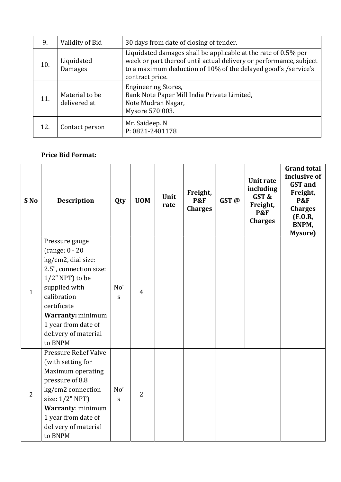| 9.  | Validity of Bid                | 30 days from date of closing of tender.                                                                                                                                                                                   |
|-----|--------------------------------|---------------------------------------------------------------------------------------------------------------------------------------------------------------------------------------------------------------------------|
| 10. | Liquidated<br>Damages          | Liquidated damages shall be applicable at the rate of 0.5% per<br>week or part thereof until actual delivery or performance, subject<br>to a maximum deduction of 10% of the delayed good's /service's<br>contract price. |
| 11. | Material to be<br>delivered at | <b>Engineering Stores,</b><br>Bank Note Paper Mill India Private Limited,<br>Note Mudran Nagar,<br>Mysore 570 003.                                                                                                        |
| 12. | Contact person                 | Mr. Saideep. N<br>P: 0821-2401178                                                                                                                                                                                         |

# Price Bid Format:

| S No           | <b>Description</b>                                                                                                                                                                                                                            | Qty                  | <b>UOM</b>     | Unit<br>rate | Freight,<br><b>P&amp;F</b><br><b>Charges</b> | GST@ | <b>Unit rate</b><br>including<br>GST&<br>Freight,<br><b>P&amp;F</b><br><b>Charges</b> | <b>Grand total</b><br>inclusive of<br><b>GST</b> and<br>Freight,<br><b>P&amp;F</b><br><b>Charges</b><br>(F.0.R,<br>BNPM,<br>Mysore) |
|----------------|-----------------------------------------------------------------------------------------------------------------------------------------------------------------------------------------------------------------------------------------------|----------------------|----------------|--------------|----------------------------------------------|------|---------------------------------------------------------------------------------------|-------------------------------------------------------------------------------------------------------------------------------------|
| $\mathbf{1}$   | Pressure gauge<br>(range: $0 - 20$<br>kg/cm2, dial size:<br>2.5", connection size:<br>$1/2$ " NPT) to be<br>supplied with<br>calibration<br>certificate<br><b>Warranty: minimum</b><br>1 year from date of<br>delivery of material<br>to BNPM | No'<br>${\mathsf S}$ | $\overline{4}$ |              |                                              |      |                                                                                       |                                                                                                                                     |
| $\overline{2}$ | <b>Pressure Relief Valve</b><br>(with setting for<br>Maximum operating<br>pressure of 8.8<br>kg/cm2 connection<br>size: 1/2" NPT)<br>Warranty: minimum<br>1 year from date of<br>delivery of material<br>to BNPM                              | No'<br>$\mathbf S$   | $\overline{2}$ |              |                                              |      |                                                                                       |                                                                                                                                     |